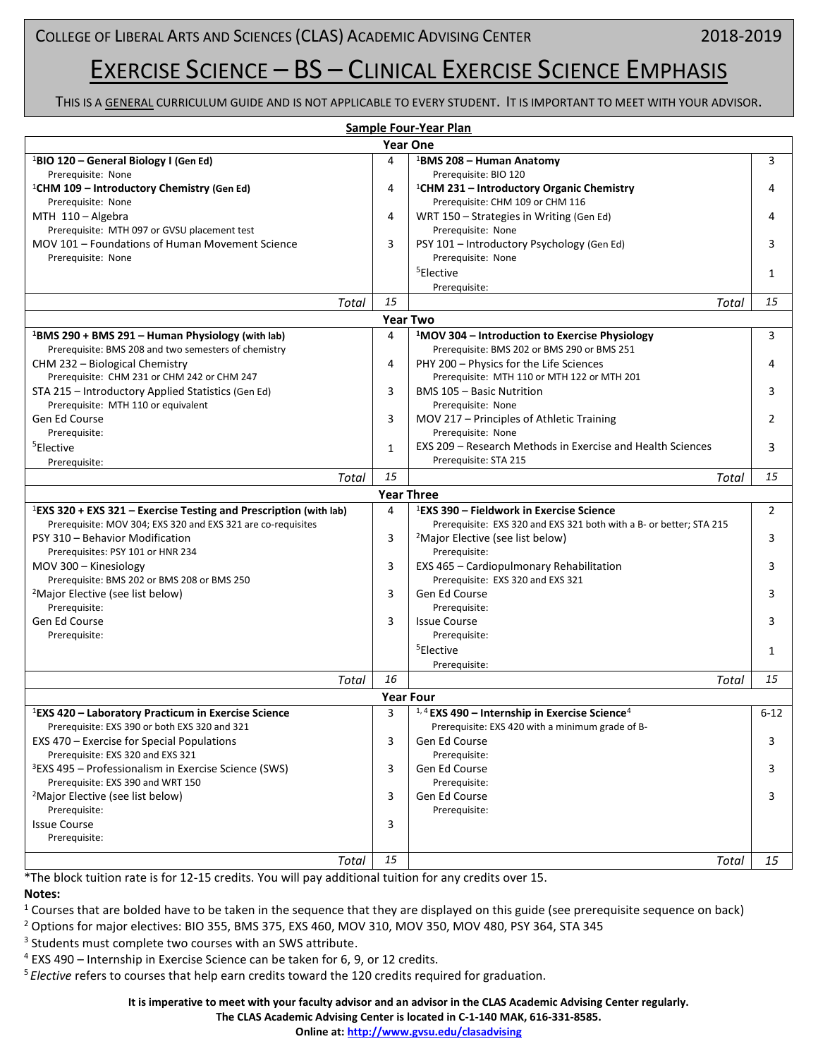# EXERCISE SCIENCE – BS – CLINICAL EXERCISE SCIENCE EMPHASIS

THIS IS A GENERAL CURRICULUM GUIDE AND IS NOT APPLICABLE TO EVERY STUDENT. IT IS IMPORTANT TO MEET WITH YOUR ADVISOR.

| Sample Four-Year Plan                                                         |    |                                                                     |          |  |
|-------------------------------------------------------------------------------|----|---------------------------------------------------------------------|----------|--|
| <b>Year One</b>                                                               |    |                                                                     |          |  |
| <sup>1</sup> BIO 120 – General Biology I (Gen Ed)                             | 4  | <sup>1</sup> BMS 208 - Human Anatomy                                | 3        |  |
| Prerequisite: None                                                            |    | Prerequisite: BIO 120                                               |          |  |
| <sup>1</sup> CHM 109 - Introductory Chemistry (Gen Ed)                        | 4  | <sup>1</sup> CHM 231 – Introductory Organic Chemistry               |          |  |
| Prerequisite: None                                                            |    | Prerequisite: CHM 109 or CHM 116                                    |          |  |
| MTH 110 - Algebra                                                             | 4  | WRT 150 - Strategies in Writing (Gen Ed)                            |          |  |
| Prerequisite: MTH 097 or GVSU placement test                                  |    | Prerequisite: None                                                  |          |  |
| MOV 101 - Foundations of Human Movement Science                               | 3  | PSY 101 - Introductory Psychology (Gen Ed)                          | 3        |  |
| Prerequisite: None                                                            |    | Prerequisite: None                                                  |          |  |
|                                                                               |    | <sup>5</sup> Elective                                               | 1        |  |
|                                                                               |    | Prerequisite:                                                       |          |  |
| Total                                                                         | 15 | Total                                                               | 15       |  |
| <b>Year Two</b>                                                               |    |                                                                     |          |  |
| <sup>1</sup> BMS 290 + BMS 291 – Human Physiology (with lab)                  | 4  | <sup>1</sup> MOV 304 - Introduction to Exercise Physiology          | 3        |  |
| Prerequisite: BMS 208 and two semesters of chemistry                          |    | Prerequisite: BMS 202 or BMS 290 or BMS 251                         |          |  |
|                                                                               |    |                                                                     |          |  |
| CHM 232 - Biological Chemistry<br>Prerequisite: CHM 231 or CHM 242 or CHM 247 | 4  | PHY 200 - Physics for the Life Sciences                             |          |  |
|                                                                               |    | Prerequisite: MTH 110 or MTH 122 or MTH 201                         |          |  |
| STA 215 - Introductory Applied Statistics (Gen Ed)                            | 3  | BMS 105 - Basic Nutrition                                           | 3        |  |
| Prerequisite: MTH 110 or equivalent<br>Gen Ed Course                          |    | Prerequisite: None                                                  |          |  |
|                                                                               | 3  | MOV 217 – Principles of Athletic Training                           | 2        |  |
| Prerequisite:                                                                 |    | Prerequisite: None                                                  |          |  |
| <sup>5</sup> Elective                                                         | 1  | EXS 209 – Research Methods in Exercise and Health Sciences          | 3        |  |
| Prerequisite:                                                                 |    | Prerequisite: STA 215                                               |          |  |
| Total                                                                         | 15 | Total                                                               | 15       |  |
| <b>Year Three</b>                                                             |    |                                                                     |          |  |
| <sup>1</sup> EXS 320 + EXS 321 – Exercise Testing and Prescription (with lab) | 4  | <sup>1</sup> EXS 390 – Fieldwork in Exercise Science                | 2        |  |
| Prerequisite: MOV 304; EXS 320 and EXS 321 are co-requisites                  |    | Prerequisite: EXS 320 and EXS 321 both with a B- or better; STA 215 |          |  |
| PSY 310 - Behavior Modification                                               | 3  | <sup>2</sup> Major Elective (see list below)                        | 3        |  |
| Prerequisites: PSY 101 or HNR 234                                             |    | Prerequisite:                                                       |          |  |
| MOV 300 - Kinesiology                                                         | 3  | EXS 465 - Cardiopulmonary Rehabilitation                            | 3        |  |
| Prerequisite: BMS 202 or BMS 208 or BMS 250                                   |    | Prerequisite: EXS 320 and EXS 321                                   |          |  |
| <sup>2</sup> Major Elective (see list below)                                  | 3  | Gen Ed Course                                                       | 3        |  |
| Prerequisite:                                                                 |    | Prerequisite:                                                       |          |  |
| Gen Ed Course                                                                 | 3  | <b>Issue Course</b>                                                 | 3        |  |
| Prerequisite:                                                                 |    | Prerequisite:                                                       |          |  |
|                                                                               |    | <sup>5</sup> Elective                                               | 1        |  |
|                                                                               |    | Prerequisite:                                                       |          |  |
| Total                                                                         | 16 | Total                                                               | 15       |  |
| <b>Year Four</b>                                                              |    |                                                                     |          |  |
| <sup>1</sup> EXS 420 – Laboratory Practicum in Exercise Science               | ς  | $1,4$ EXS 490 – Internship in Exercise Science <sup>4</sup>         | $6 - 12$ |  |
| Prerequisite: EXS 390 or both EXS 320 and 321                                 |    | Prerequisite: EXS 420 with a minimum grade of B-                    |          |  |
| EXS 470 - Exercise for Special Populations                                    | 3  | Gen Ed Course                                                       | 3        |  |
| Prerequisite: EXS 320 and EXS 321                                             |    | Prerequisite:                                                       |          |  |
| <sup>3</sup> EXS 495 - Professionalism in Exercise Science (SWS)              | 3  | Gen Ed Course                                                       | 3        |  |
| Prerequisite: EXS 390 and WRT 150                                             |    | Prerequisite:                                                       |          |  |
| <sup>2</sup> Major Elective (see list below)                                  | 3  | Gen Ed Course                                                       | 3        |  |
| Prerequisite:                                                                 |    | Prerequisite:                                                       |          |  |
| <b>Issue Course</b>                                                           | 3  |                                                                     |          |  |
| Prerequisite:                                                                 |    |                                                                     |          |  |
|                                                                               | 15 | <b>Total</b>                                                        |          |  |
| Total                                                                         |    |                                                                     | 15       |  |

\*The block tuition rate is for 12-15 credits. You will pay additional tuition for any credits over 15.

#### **Notes:**

 $1$  Courses that are bolded have to be taken in the sequence that they are displayed on this guide (see prerequisite sequence on back)

<sup>2</sup> Options for major electives: BIO 355, BMS 375, EXS 460, MOV 310, MOV 350, MOV 480, PSY 364, STA 345

<sup>3</sup> Students must complete two courses with an SWS attribute.

<sup>4</sup> EXS 490 – Internship in Exercise Science can be taken for 6, 9, or 12 credits.

<sup>5</sup>*Elective* refers to courses that help earn credits toward the 120 credits required for graduation.

**It is imperative to meet with your faculty advisor and an advisor in the CLAS Academic Advising Center regularly.**

**The CLAS Academic Advising Center is located in C-1-140 MAK, 616-331-8585.**

**Online at:<http://www.gvsu.edu/clasadvising>**